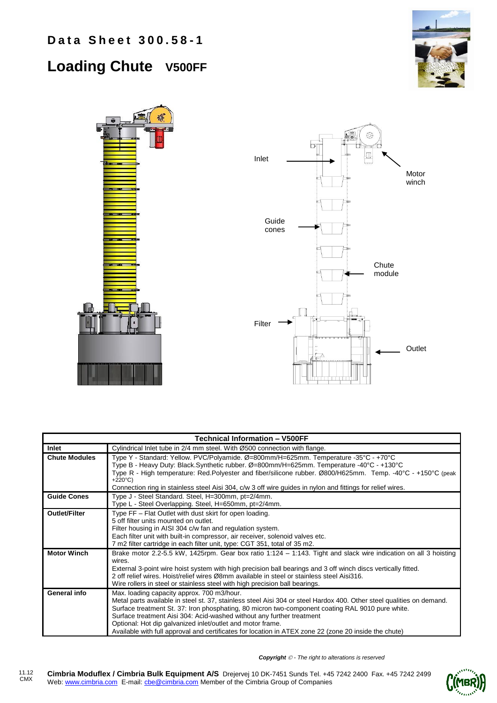## **Loading Chute V500FF**





| Technical Information – V500FF |                                                                                                                                                                                                                                                                                                                                                                                                                                                                                                                         |  |  |
|--------------------------------|-------------------------------------------------------------------------------------------------------------------------------------------------------------------------------------------------------------------------------------------------------------------------------------------------------------------------------------------------------------------------------------------------------------------------------------------------------------------------------------------------------------------------|--|--|
| Inlet                          | Cylindrical Inlet tube in 2/4 mm steel. With Ø500 connection with flange.                                                                                                                                                                                                                                                                                                                                                                                                                                               |  |  |
| <b>Chute Modules</b>           | Type Y - Standard: Yellow. PVC/Polyamide. Ø=800mm/H=625mm. Temperature -35°C - +70°C<br>Type B - Heavy Duty: Black.Synthetic rubber. Ø=800mm/H=625mm. Temperature -40°C - +130°C<br>Type R - High temperature: Red.Polyester and fiber/silicone rubber. Ø800/H625mm. Temp. -40°C - +150°C (peak<br>$+220^{\circ}C$<br>Connection ring in stainless steel Aisi 304, c/w 3 off wire guides in nylon and fittings for relief wires.                                                                                        |  |  |
| <b>Guide Cones</b>             | Type J - Steel Standard. Steel, H=300mm, pt=2/4mm.<br>Type L - Steel Overlapping. Steel, H=650mm, pt=2/4mm.                                                                                                                                                                                                                                                                                                                                                                                                             |  |  |
| <b>Outlet/Filter</b>           | Type FF – Flat Outlet with dust skirt for open loading.<br>5 off filter units mounted on outlet.<br>Filter housing in AISI 304 c/w fan and regulation system.<br>Each filter unit with built-in compressor, air receiver, solenoid valves etc.<br>7 m2 filter cartridge in each filter unit, type: CGT 351, total of 35 m2.                                                                                                                                                                                             |  |  |
| <b>Motor Winch</b>             | Brake motor 2.2-5.5 kW, 1425rpm. Gear box ratio 1:124 – 1:143. Tight and slack wire indication on all 3 hoisting<br>wires.<br>External 3-point wire hoist system with high precision ball bearings and 3 off winch discs vertically fitted.<br>2 off relief wires. Hoist/relief wires Ø8mm available in steel or stainless steel Aisi316.<br>Wire rollers in steel or stainless steel with high precision ball bearings.                                                                                                |  |  |
| General info                   | Max. loading capacity approx. 700 m3/hour.<br>Metal parts available in steel st. 37, stainless steel Aisi 304 or steel Hardox 400. Other steel qualities on demand.<br>Surface treatment St. 37: Iron phosphating, 80 micron two-component coating RAL 9010 pure white.<br>Surface treatment Aisi 304: Acid-washed without any further treatment<br>Optional: Hot dip galvanized inlet/outlet and motor frame.<br>Available with full approval and certificates for location in ATEX zone 22 (zone 20 inside the chute) |  |  |

*Copyright - The right to alterations is reserved*